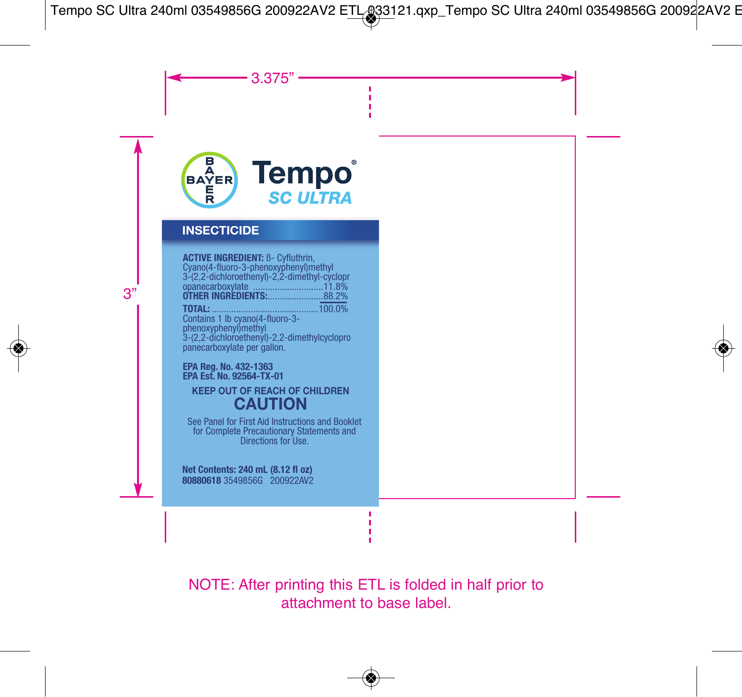

## **INSECTICIDE**

Cyano(4-fluoro-3-phenoxyphenyl)methyl<br>3-(2,2-dichloroethenyl)-2,2-dimethyl-cyclopr<br>opanecarboxylate<sub>.</sub> .............................11.8% **DIENT:** B- Cyfluthrin,<br>-3-phenoxyphenyl)methyl panecarboxylate per gallon. 3-(2,2-dichloroethenyl)-2,2-dimethylcyclopro phenoxyphenyl)methyl Contains 1 lb cyano(4-fluoro-3- **TOTAL:** ............................................100.0% **T OTHER INGREDIENTS:**.......................88.2% opanecarboxylate .............................11.8%

**PA Est. No. 92564-TX-01**<br>**PER OUT OF REACL** 

# **EP CAUTION KEEP OUT OF REACH OF CHILDREN**

See Panel for First Aid Instructions and Booklet<br>for Complete Precautionary Statements and<br>Directions for Use.

Net Contents: 240 mL (8.12 fl oz) **80880618** 3549856G 200922AV2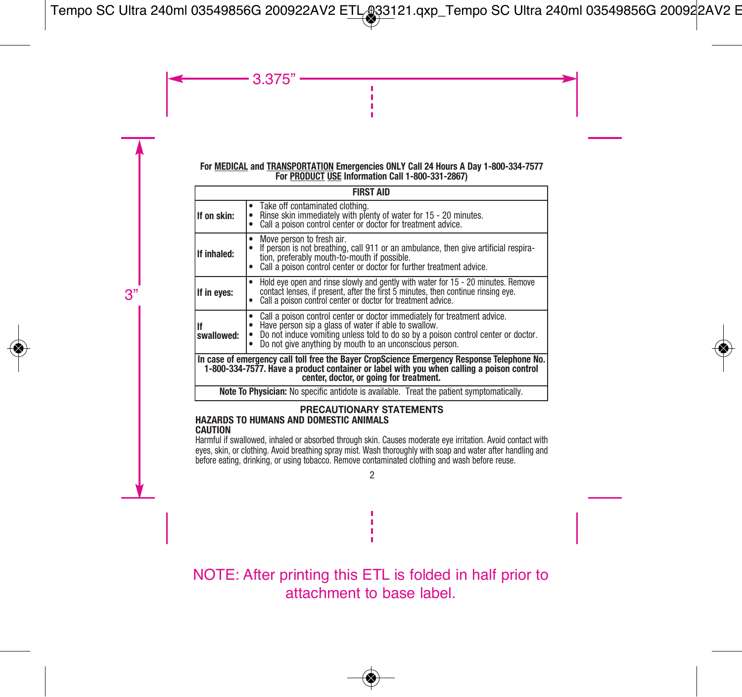#### **For MEDICAL and TRANSPORTATION Emergencies ONLY Call 24 Hours A Day 1-800-334-7577 For PRODUCT USE Information Call 1-800-331-2867)**

| <b>FIRST AID</b>                                                                                                                                                                                                                  |                                                                                                                                                                                                                                                                                  |  |  |  |  |  |
|-----------------------------------------------------------------------------------------------------------------------------------------------------------------------------------------------------------------------------------|----------------------------------------------------------------------------------------------------------------------------------------------------------------------------------------------------------------------------------------------------------------------------------|--|--|--|--|--|
| If on skin:                                                                                                                                                                                                                       | • Take off contaminated clothing.<br>Rinse skin immediately with plenty of water for 15 - 20 minutes.<br>Call a poison control center or doctor for treatment advice.                                                                                                            |  |  |  |  |  |
| If inhaled:                                                                                                                                                                                                                       | Move person to fresh air.<br>$\bullet$<br>If person is not breathing, call 911 or an ambulance, then give artificial respira-<br>tion, preferably mouth-to-mouth if possible.<br>Call a poison control center or doctor for further treatment advice.<br>$\bullet$               |  |  |  |  |  |
| If in eyes:                                                                                                                                                                                                                       | Hold eye open and rinse slowly and gently with water for 15 - 20 minutes. Remove contact lenses, if present, after the first 5 minutes, then continue rinsing eye.<br>٠<br>Call a poison control center or doctor for treatment advice.<br>$\bullet$                             |  |  |  |  |  |
| İlf<br>swallowed:                                                                                                                                                                                                                 | Call a poison control center or doctor immediately for treatment advice.<br>Have person sip a glass of water if able to swallow.<br>Do not induce vomiting unless told to do so by a poison control center or doctor.<br>Do not give anything by mouth to an unconscious person. |  |  |  |  |  |
| In case of emergency call toll free the Bayer CropScience Emergency Response Telephone No.<br>1-800-334-7577. Have a product container or label with you when calling a poison control<br>center, doctor, or going for treatment. |                                                                                                                                                                                                                                                                                  |  |  |  |  |  |
| Note To Physician: No specific antidote is available. Treat the patient symptomatically.                                                                                                                                          |                                                                                                                                                                                                                                                                                  |  |  |  |  |  |

#### **PRECAUTIONARY STATEMENTS HAZARDS TO HUMANS AND DOMESTIC ANIMALS CAUTION**

Harmful if swallowed, inhaled or absorbed through skin. Causes moderate eye irritation. Avoid contact with eyes, skin, or clothing. Avoid breathing spray mist. Wash thoroughly with soap and water after handling and before eating, drinking, or using tobacco. Remove contaminated clothing and wash before reuse.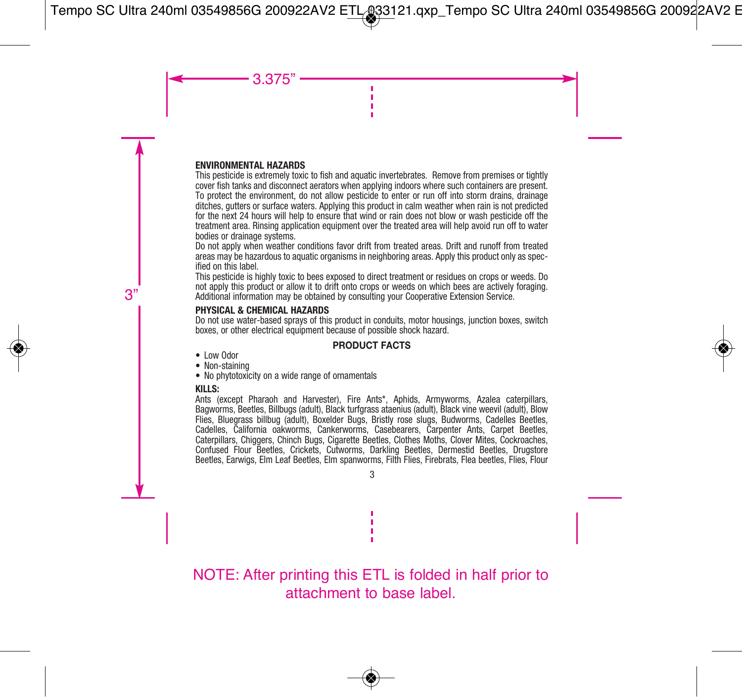#### **ENVIRONMENTAL HAZARDS**

This pesticide is extremely toxic to fish and aquatic invertebrates. Remove from premises or tightly cover fish tanks and disconnect aerators when applying indoors where such containers are present. To protect the environment, do not allow pesticide to enter or run off into storm drains, drainage ditches, gutters or surface waters. Applying this product in calm weather when rain is not predicted for the next 24 hours will help to ensure that wind or rain does not blow or wash pesticide off the treatment area. Rinsing application equipment over the treated area will help avoid run off to water bodies or drainage systems.

Do not apply when weather conditions favor drift from treated areas. Drift and runoff from treated areas may be hazardous to aquatic organisms in neighboring areas. Apply this product only as specified on this label.

This pesticide is highly toxic to bees exposed to direct treatment or residues on crops or weeds. Do not apply this product or allow it to drift onto crops or weeds on which bees are actively foraging. Additional information may be obtained by consulting your Cooperative Extension Service.

#### **PHYSICAL & CHEMICAL HAZARDS**

Do not use water-based sprays of this product in conduits, motor housings, junction boxes, switch boxes, or other electrical equipment because of possible shock hazard.

## **PRODUCT FACTS**

- Low Odor
- Non-staining
- No phytotoxicity on a wide range of ornamentals

## **KILLS:**

Ants (except Pharaoh and Harvester), Fire Ants\*, Aphids, Armyworms, Azalea caterpillars, Bagworms, Beetles, Billbugs (adult), Black turfgrass ataenius (adult), Black vine weevil (adult), Blow Flies, Bluegrass billbug (adult), Boxelder Bugs, Bristly rose slugs, Budworms, Cadelles Beetles, Cadelles, California oakworms, Cankerworms, Casebearers, Carpenter Ants, Carpet Beetles, Caterpillars, Chiggers, Chinch Bugs, Cigarette Beetles, Clothes Moths, Clover Mites, Cockroaches, Confused Flour Beetles, Crickets, Cutworms, Darkling Beetles, Dermestid Beetles, Drugstore Beetles, Earwigs, Elm Leaf Beetles, Elm spanworms, Filth Flies, Firebrats, Flea beetles, Flies, Flour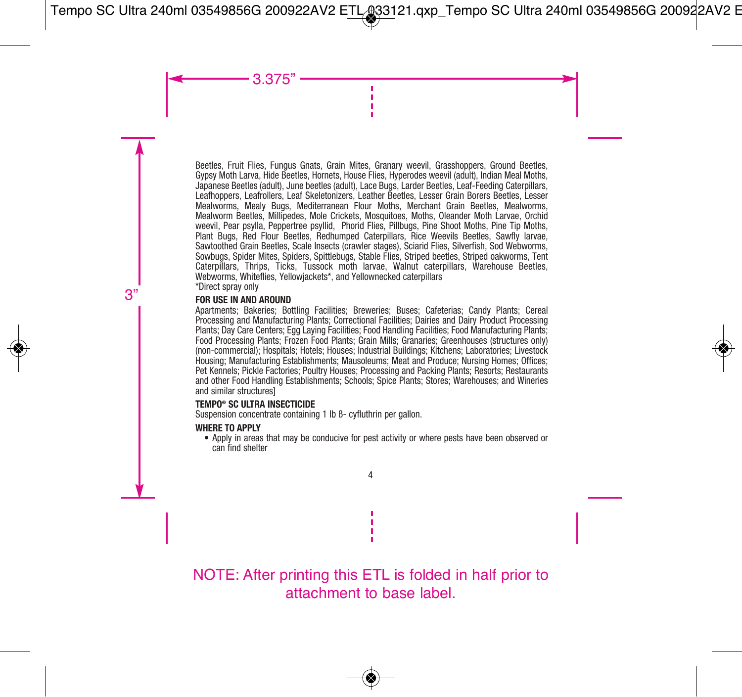Beetles, Fruit Flies, Fungus Gnats, Grain Mites, Granary weevil, Grasshoppers, Ground Beetles, Gypsy Moth Larva, Hide Beetles, Hornets, House Flies, Hyperodes weevil (adult), Indian Meal Moths, Japanese Beetles (adult), June beetles (adult), Lace Bugs, Larder Beetles, Leaf-Feeding Caterpillars, Leafhoppers, Leafrollers, Leaf Skeletonizers, Leather Beetles, Lesser Grain Borers Beetles, Lesser Mealworms, Mealy Bugs, Mediterranean Flour Moths, Merchant Grain Beetles, Mealworms, Mealworm Beetles, Millipedes, Mole Crickets, Mosquitoes, Moths, Oleander Moth Larvae, Orchid weevil, Pear psylla, Peppertree psyllid, Phorid Flies, Pillbugs, Pine Shoot Moths, Pine Tip Moths, Plant Bugs, Red Flour Beetles, Redhumped Caterpillars, Rice Weevils Beetles, Sawfly larvae, Sawtoothed Grain Beetles, Scale Insects (crawler stages), Sciarid Flies, Silverfish, Sod Webworms, Sowbugs, Spider Mites, Spiders, Spittlebugs, Stable Flies, Striped beetles, Striped oakworms, Tent Caterpillars, Thrips, Ticks, Tussock moth larvae, Walnut caterpillars, Warehouse Beetles, Webworms, Whiteflies, Yellowiackets\*, and Yellownecked caternillars \*Direct spray only

#### **FOR USE IN AND AROUND**

Apartments; Bakeries; Bottling Facilities; Breweries; Buses; Cafeterias; Candy Plants; Cereal Processing and Manufacturing Plants; Correctional Facilities; Dairies and Dairy Product Processing Plants; Day Care Centers; Egg Laying Facilities; Food Handling Facilities; Food Manufacturing Plants; Food Processing Plants; Frozen Food Plants; Grain Mills; Granaries; Greenhouses (structures only) (non-commercial); Hospitals; Hotels; Houses; Industrial Buildings; Kitchens; Laboratories; Livestock Housing; Manufacturing Establishments; Mausoleums; Meat and Produce; Nursing Homes; Offices; Pet Kennels; Pickle Factories; Poultry Houses; Processing and Packing Plants; Resorts; Restaurants and other Food Handling Establishments; Schools; Spice Plants; Stores; Warehouses; and Wineries and similar structures]

#### **TEMPO® SC ULTRA INSECTICIDE**

Suspension concentrate containing 1 lb ß- cyfluthrin per gallon.

## **WHERE TO APPLY**

 • Apply in areas that may be conducive for pest activity or where pests have been observed or can find shelter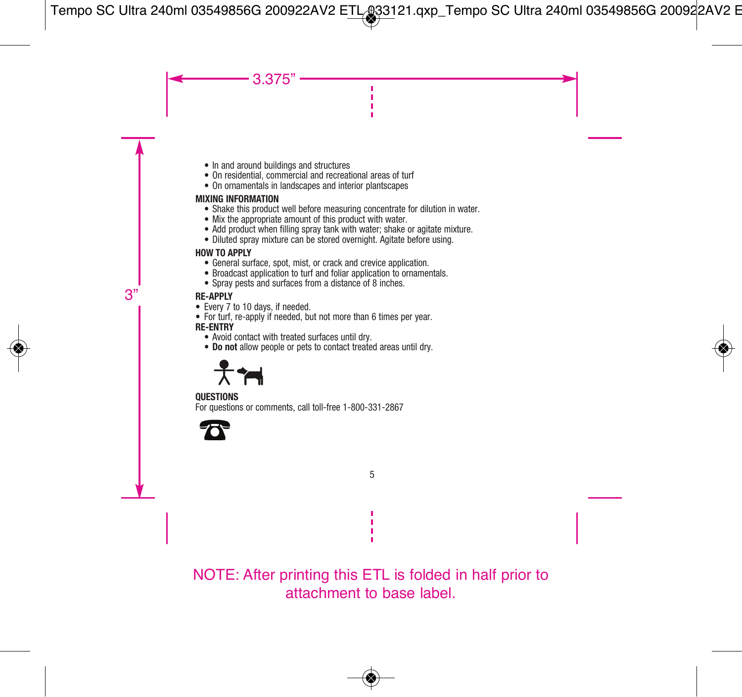- In and around buildings and structures
- On residential, commercial and recreational areas of turf
- On ornamentals in landscapes and interior plantscapes

## **MIXING INFORMATION**

- Shake this product well before measuring concentrate for dilution in water.
- Mix the appropriate amount of this product with water.
- Add product when filling spray tank with water; shake or agitate mixture.
- Diluted spray mixture can be stored overnight. Agitate before using.

## **HOW TO APPLY**

- General surface, spot, mist, or crack and crevice application.
- Broadcast application to turf and foliar application to ornamentals.
- Spray pests and surfaces from a distance of 8 inches.

## **RE-APPLY**

- Every 7 to 10 days, if needed.
- For turf, re-apply if needed, but not more than 6 times per year. **RE-ENTRY**
	- Avoid contact with treated surfaces until dry.
	- **Do not** allow people or pets to contact treated areas until dry.



#### **QUESTIONS**

For questions or comments, call toll-free 1-800-331-2867

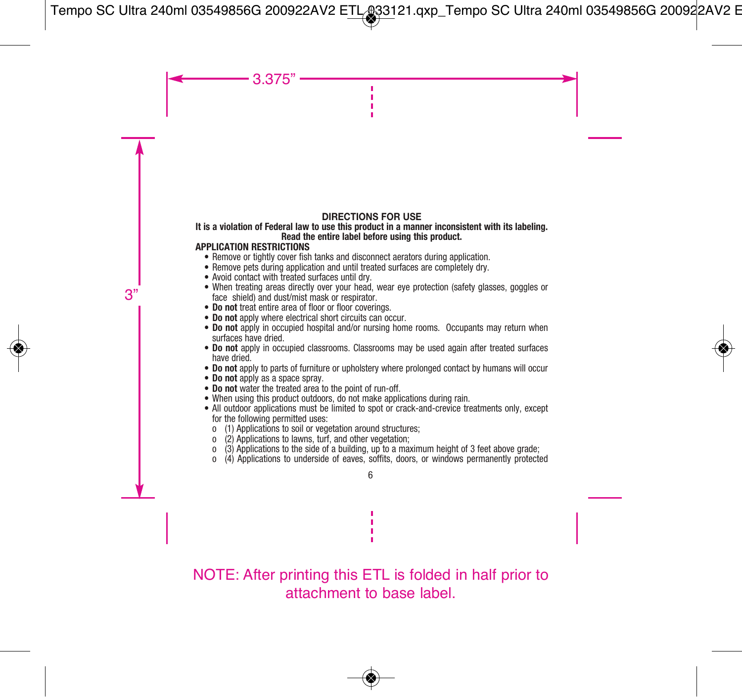## **DIRECTIONS FOR USE**

#### **It is a violation of Federal law to use this product in a manner inconsistent with its labeling. Read the entire label before using this product.**

#### **APPLICATION RESTRICTIONS**

- Remove or tightly cover fish tanks and disconnect aerators during application.
- Remove pets during application and until treated surfaces are completely dry.
- Avoid contact with treated surfaces until dry.
- When treating areas directly over your head, wear eye protection (safety glasses, goggles or face shield) and dust/mist mask or respirator.
- **Do not** treat entire area of floor or floor coverings.
- **Do not** apply where electrical short circuits can occur.
- **Do not** apply in occupied hospital and/or nursing home rooms. Occupants may return when surfaces have dried.
- **Do not** apply in occupied classrooms. Classrooms may be used again after treated surfaces have dried.
- **Do not** apply to parts of furniture or upholstery where prolonged contact by humans will occur
- 
- **Do not** apply as a space spray.
- When using this product outdoors, do not make applications during rain.
- All outdoor applications must be limited to spot or crack-and-crevice treatments only, except for the following permitted uses:
	- o (1) Applications to soil or vegetation around structures;
	- o (2) Applications to lawns, turf, and other vegetation;
	- $\frac{1}{3}$  Applications to the side of a building, up to a maximum height of 3 feet above grade;<br> $\frac{1}{3}$  Applications to underside of eaves, soffits, doors, or windows permanently protected
	- o (4) Applications to underside of eaves, soffits, doors, or windows permanently protected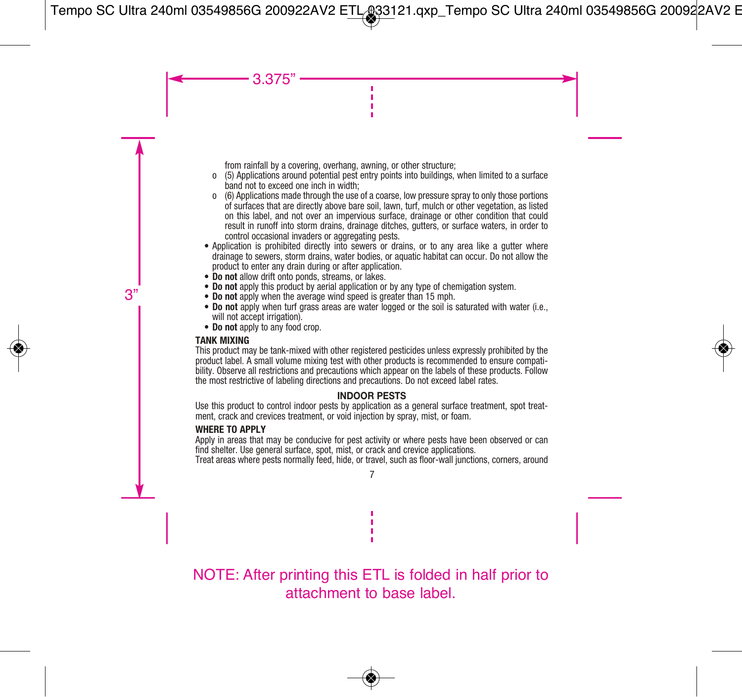from rainfall by a covering, overhang, awning, or other structure;

- o (5) Applications around potential pest entry points into buildings, when limited to a surface band not to exceed one inch in width;
- o (6) Applications made through the use of a coarse, low pressure spray to only those portions of surfaces that are directly above bare soil, lawn, turf, mulch or other vegetation, as listed on this label, and not over an impervious surface, drainage or other condition that could result in runoff into storm drains, drainage ditches, gutters, or surface waters, in order to control occasional invaders or aggregating pests.
- Application is prohibited directly into sewers or drains, or to any area like a gutter where drainage to sewers, storm drains, water bodies, or aquatic habitat can occur. Do not allow the product to enter any drain during or after application.
- **Do not** allow drift onto ponds, streams, or lakes.
- **Do not** apply this product by aerial application or by any type of chemigation system.
- **Do not** apply when the average wind speed is greater than 15 mph.
- **Do not** apply when turf grass areas are water logged or the soil is saturated with water (i.e., will not accept irrigation).
- **Do not** apply to any food crop.

#### **TANK MIXING**

This product may be tank-mixed with other registered pesticides unless expressly prohibited by the product label. A small volume mixing test with other products is recommended to ensure compatibility. Observe all restrictions and precautions which appear on the labels of these products. Follow the most restrictive of labeling directions and precautions. Do not exceed label rates.

## **INDOOR PESTS**

Use this product to control indoor pests by application as a general surface treatment, spot treatment, crack and crevices treatment, or void injection by spray, mist, or foam.

#### **WHERE TO APPLY**

Apply in areas that may be conducive for pest activity or where pests have been observed or can find shelter. Use general surface, spot, mist, or crack and crevice applications.

Treat areas where pests normally feed, hide, or travel, such as floor-wall junctions, corners, around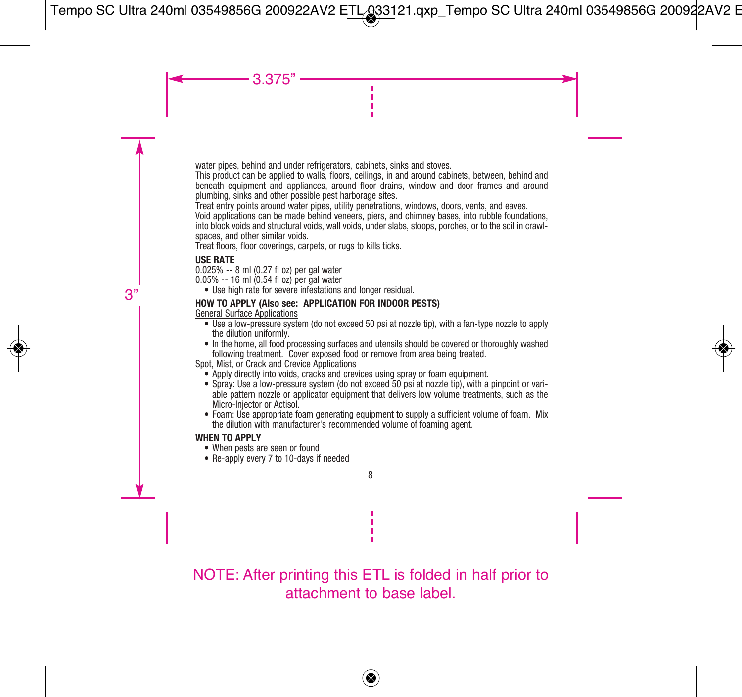water pipes, behind and under refrigerators, cabinets, sinks and stoves.

This product can be applied to walls, floors, ceilings, in and around cabinets, between, behind and beneath equipment and appliances, around floor drains, window and door frames and around plumbing, sinks and other possible pest harborage sites.

Treat entry points around water pipes, utility penetrations, windows, doors, vents, and eaves.

Void applications can be made behind veneers, piers, and chimney bases, into rubble foundations, into block voids and structural voids, wall voids, under slabs, stoops, porches, or to the soil in crawlspaces, and other similar voids.

Treat floors, floor coverings, carpets, or rugs to kills ticks.

## **USE RATE**

0.025% -- 8 ml (0.27 fl oz) per gal water

0.05% -- 16 ml (0.54 fl oz) per gal water

• Use high rate for severe infestations and longer residual.

## **HOW TO APPLY (Also see: APPLICATION FOR INDOOR PESTS)**

General Surface Applications

- Use a low-pressure system (do not exceed 50 psi at nozzle tip), with a fan-type nozzle to apply the dilution uniformly.
- In the home, all food processing surfaces and utensils should be covered or thoroughly washed following treatment. Cover exposed food or remove from area being treated.

Spot, Mist, or Crack and Crevice Applications

- Apply directly into voids, cracks and crevices using spray or foam equipment.
- Spray: Use a low-pressure system (do not exceed 50 psi at nozzle tip), with a pinpoint or variable pattern nozzle or applicator equipment that delivers low volume treatments, such as the Micro-Injector or Actisol.
- Foam: Use appropriate foam generating equipment to supply a sufficient volume of foam. Mix the dilution with manufacturer's recommended volume of foaming agent.

## **WHEN TO APPLY**

- When pests are seen or found
- Re-apply every 7 to 10-days if needed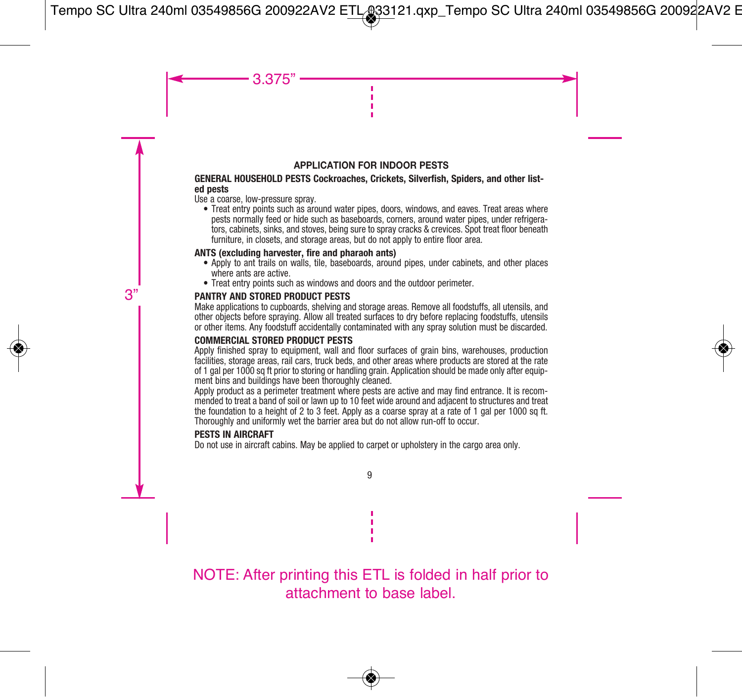## **APPLICATION FOR INDOOR PESTS**

#### **GENERAL HOUSEHOLD PESTS Cockroaches, Crickets, Silverfish, Spiders, and other listed pests**

Use a coarse, low-pressure spray.

 • Treat entry points such as around water pipes, doors, windows, and eaves. Treat areas where pests normally feed or hide such as baseboards, corners, around water pipes, under refrigerators, cabinets, sinks, and stoves, being sure to spray cracks & crevices. Spot treat floor beneath furniture, in closets, and storage areas, but do not apply to entire floor area.

#### **ANTS (excluding harvester, fire and pharaoh ants)**

- Apply to ant trails on walls, tile, baseboards, around pipes, under cabinets, and other places where ants are active.
- Treat entry points such as windows and doors and the outdoor perimeter.

## **PANTRY AND STORED PRODUCT PESTS**

Make applications to cupboards, shelving and storage areas. Remove all foodstuffs, all utensils, and other objects before spraying. Allow all treated surfaces to dry before replacing foodstuffs, utensils or other items. Any foodstuff accidentally contaminated with any spray solution must be discarded.

## **COMMERCIAL STORED PRODUCT PESTS**

Apply finished spray to equipment, wall and floor surfaces of grain bins, warehouses, production facilities, storage areas, rail cars, truck beds, and other areas where products are stored at the rate of 1 gal per 1000 sq ft prior to storing or handling grain. Application should be made only after equipment bins and buildings have been thoroughly cleaned.

Apply product as a perimeter treatment where pests are active and may find entrance. It is recommended to treat a band of soil or lawn up to 10 feet wide around and adjacent to structures and treat the foundation to a height of 2 to 3 feet. Apply as a coarse spray at a rate of 1 gal per 1000 sq ft. Thoroughly and uniformly wet the barrier area but do not allow run-off to occur.

#### **PESTS IN AIRCRAFT**

Do not use in aircraft cabins. May be applied to carpet or upholstery in the cargo area only.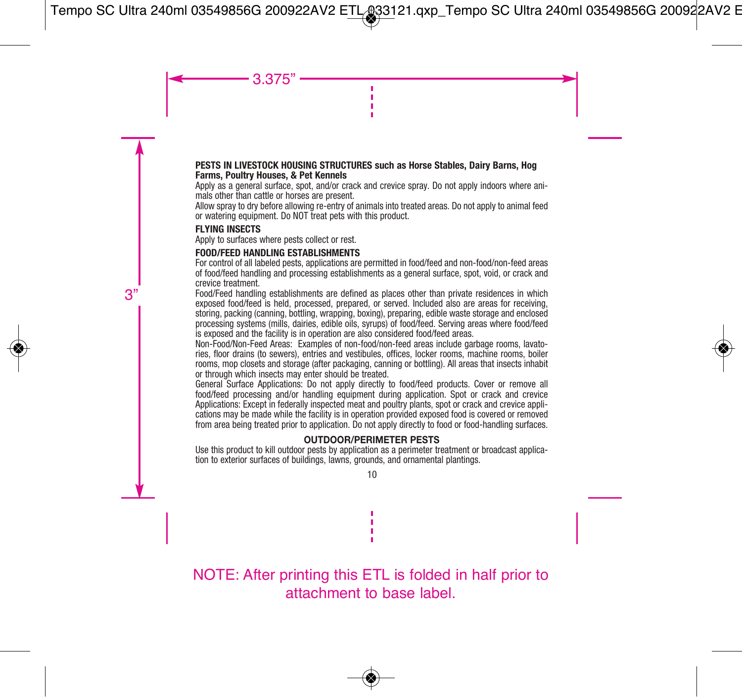#### **PESTS IN LIVESTOCK HOUSING STRUCTURES such as Horse Stables, Dairy Barns, Hog Farms, Poultry Houses, & Pet Kennels**

Apply as a general surface, spot, and/or crack and crevice spray. Do not apply indoors where animals other than cattle or horses are present.

Allow spray to dry before allowing re-entry of animals into treated areas. Do not apply to animal feed or watering equipment. Do NOT treat pets with this product.

## **FLYING INSECTS**

Apply to surfaces where pests collect or rest.

## **FOOD/FEED HANDLING ESTABLISHMENTS**

For control of all labeled pests, applications are permitted in food/feed and non-food/non-feed areas of food/feed handling and processing establishments as a general surface, spot, void, or crack and crevice treatment.

Food/Feed handling establishments are defined as places other than private residences in which exposed food/feed is held, processed, prepared, or served. Included also are areas for receiving, storing, packing (canning, bottling, wrapping, boxing), preparing, edible waste storage and enclosed processing systems (mills, dairies, edible oils, syrups) of food/feed. Serving areas where food/feed is exposed and the facility is in operation are also considered food/feed areas.

Non-Food/Non-Feed Areas: Examples of non-food/non-feed areas include garbage rooms, lavatories, floor drains (to sewers), entries and vestibules, offices, locker rooms, machine rooms, boiler rooms, mop closets and storage (after packaging, canning or bottling). All areas that insects inhabit or through which insects may enter should be treated.

General Surface Applications: Do not apply directly to food/feed products. Cover or remove all food/feed processing and/or handling equipment during application. Spot or crack and crevice Applications: Except in federally inspected meat and poultry plants, spot or crack and crevice applications may be made while the facility is in operation provided exposed food is covered or removed from area being treated prior to application. Do not apply directly to food or food-handling surfaces.

## **OUTDOOR/PERIMETER PESTS**

Use this product to kill outdoor pests by application as a perimeter treatment or broadcast application to exterior surfaces of buildings, lawns, grounds, and ornamental plantings.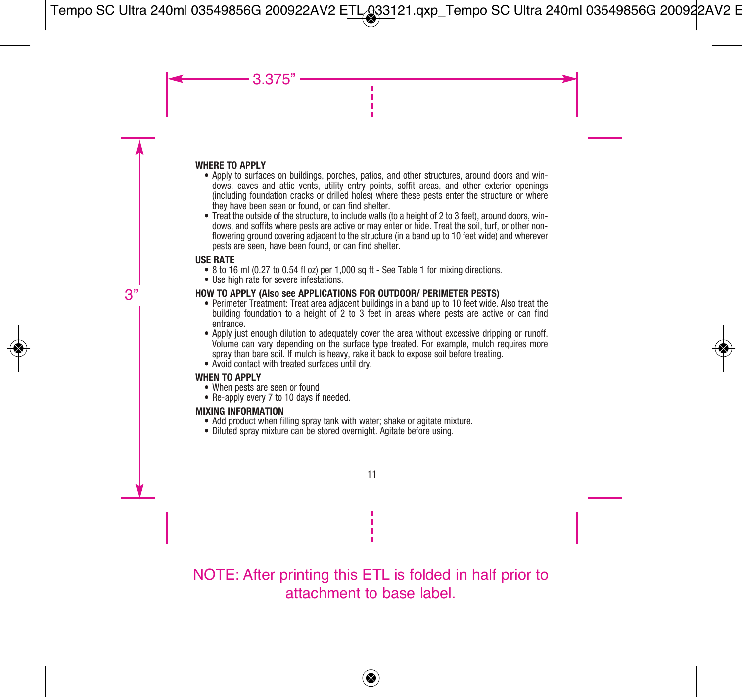#### **WHERE TO APPLY**

- Apply to surfaces on buildings, porches, patios, and other structures, around doors and windows, eaves and attic vents, utility entry points, soffit areas, and other exterior openings (including foundation cracks or drilled holes) where these pests enter the structure or where they have been seen or found, or can find shelter.
- Treat the outside of the structure, to include walls (to a height of 2 to 3 feet), around doors, windows, and soffits where pests are active or may enter or hide. Treat the soil, turf, or other nonflowering ground covering adjacent to the structure (in a band up to 10 feet wide) and wherever pests are seen, have been found, or can find shelter.

## **USE RATE**

- 8 to 16 ml (0.27 to 0.54 fl oz) per 1,000 sq ft See Table 1 for mixing directions.
- Use high rate for severe infestations.

## **HOW TO APPLY (Also see APPLICATIONS FOR OUTDOOR/ PERIMETER PESTS)**

- Perimeter Treatment: Treat area adjacent buildings in a band up to 10 feet wide. Also treat the building foundation to a height of 2 to 3 feet in areas where pests are active or can find entrance.
- Apply just enough dilution to adequately cover the area without excessive dripping or runoff. Volume can vary depending on the surface type treated. For example, mulch requires more spray than bare soil. If mulch is heavy, rake it back to expose soil before treating.
- Avoid contact with treated surfaces until dry.

## **WHEN TO APPLY**

- When pests are seen or found
- Re-apply every 7 to 10 days if needed.

## **MIXING INFORMATION**

- Add product when filling spray tank with water: shake or agitate mixture.
- Diluted spray mixture can be stored overnight. Agitate before using.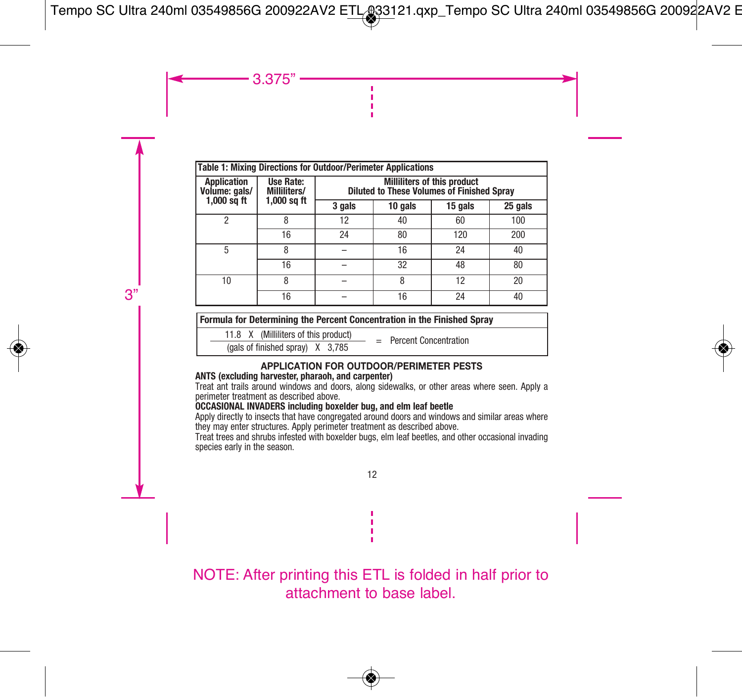| Table 1: Mixing Directions for Outdoor/Perimeter Applications |                                            |                                                                                  |         |         |         |  |  |
|---------------------------------------------------------------|--------------------------------------------|----------------------------------------------------------------------------------|---------|---------|---------|--|--|
| <b>Application</b><br>Volume: gals/<br>$1,000$ sq ft          | Use Rate:<br>Milliliters/<br>$1,000$ sq ft | Milliliters of this product<br><b>Diluted to These Volumes of Finished Spray</b> |         |         |         |  |  |
|                                                               |                                            | 3 gals                                                                           | 10 gals | 15 gals | 25 gals |  |  |
| $\mathfrak{p}$                                                |                                            | 12                                                                               | 40      | 60      | 100     |  |  |
|                                                               | 16                                         | 24                                                                               | 80      | 120     | 200     |  |  |
| 5                                                             | 8                                          |                                                                                  | 16      | 24      | 40      |  |  |
|                                                               | 16                                         |                                                                                  | 32      | 48      | 80      |  |  |
| 10                                                            | 8                                          |                                                                                  | 8       | 12      | 20      |  |  |
|                                                               | 16                                         |                                                                                  | 16      | 24      | 40      |  |  |

## **Formula for Determining the Percent Concentration in the Finished Spray**

11.8 X (Milliliters of this product)

 $\frac{11.6 \times \text{N}}{4}$  (willimiters of this product)  $=$  Percent Concentration

#### **APPLICATION FOR OUTDOOR/PERIMETER PESTS**

#### **ANTS (excluding harvester, pharaoh, and carpenter)**

Treat ant trails around windows and doors, along sidewalks, or other areas where seen. Apply a perimeter treatment as described above.

## **OCCASIONAL INVADERS including boxelder bug, and elm leaf beetle**

Apply directly to insects that have congregated around doors and windows and similar areas where they may enter structures. Apply perimeter treatment as described above.

Treat trees and shrubs infested with boxelder bugs, elm leaf beetles, and other occasional invading species early in the season.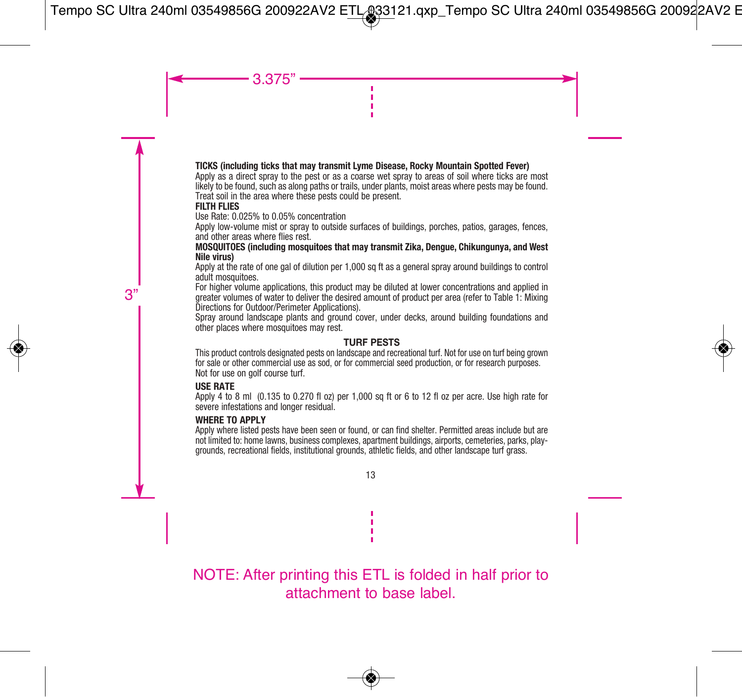#### **TICKS (including ticks that may transmit Lyme Disease, Rocky Mountain Spotted Fever)**

Apply as a direct spray to the pest or as a coarse wet spray to areas of soil where ticks are most likely to be found, such as along paths or trails, under plants, moist areas where pests may be found. Treat soil in the area where these pests could be present.

#### **FILTH FLIES**

Use Rate: 0.025% to 0.05% concentration

Apply low-volume mist or spray to outside surfaces of buildings, porches, patios, garages, fences, and other areas where flies rest.

#### **MOSQUITOES (including mosquitoes that may transmit Zika, Dengue, Chikungunya, and West Nile virus)**

Apply at the rate of one gal of dilution per 1,000 sq ft as a general spray around buildings to control adult mosquitoes.

For higher volume applications, this product may be diluted at lower concentrations and applied in greater volumes of water to deliver the desired amount of product per area (refer to Table 1: Mixing Directions for Outdoor/Perimeter Applications).

Spray around landscape plants and ground cover, under decks, around building foundations and other places where mosquitoes may rest.

## **TURF PESTS**

This product controls designated pests on landscape and recreational turf. Not for use on turf being grown for sale or other commercial use as sod, or for commercial seed production, or for research purposes. Not for use on golf course turf.

## **USE RATE**

Apply 4 to 8 ml (0.135 to 0.270 fl oz) per 1,000 sq ft or 6 to 12 fl oz per acre. Use high rate for severe infestations and longer residual.

#### **WHERE TO APPLY**

Apply where listed pests have been seen or found, or can find shelter. Permitted areas include but are not limited to: home lawns, business complexes, apartment buildings, airports, cemeteries, parks, playgrounds, recreational fields, institutional grounds, athletic fields, and other landscape turf grass.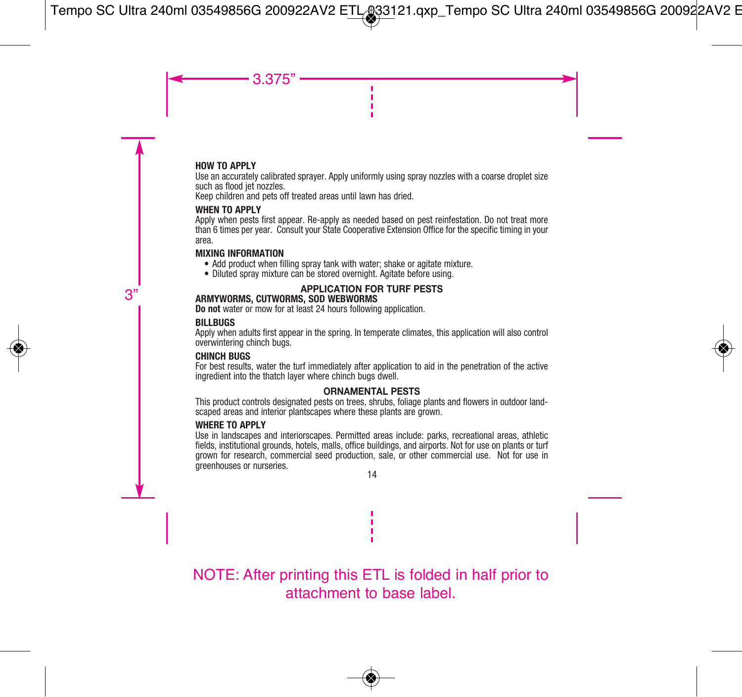## **HOW TO APPLY**

Use an accurately calibrated sprayer. Apply uniformly using spray nozzles with a coarse droplet size such as flood jet nozzles.

Keep children and pets off treated areas until lawn has dried.

## **WHEN TO APPLY**

Apply when pests first appear. Re-apply as needed based on pest reinfestation. Do not treat more than 6 times per year. Consult your State Cooperative Extension Office for the specific timing in your area.

#### **MIXING INFORMATION**

- Add product when filling spray tank with water: shake or agitate mixture.
- Diluted spray mixture can be stored overnight. Agitate before using.

## **APPLICATION FOR TURF PESTS**

## **ARMYWORMS, CUTWORMS, SOD WEBWORMS**

**Do not** water or mow for at least 24 hours following application.

## **BILLBUGS**

Apply when adults first appear in the spring. In temperate climates, this application will also control overwintering chinch bugs.

#### **CHINCH BUGS**

For best results, water the turf immediately after application to aid in the penetration of the active ingredient into the thatch layer where chinch bugs dwell.

## **ORNAMENTAL PESTS**

This product controls designated pests on trees, shrubs, foliage plants and flowers in outdoor landscaped areas and interior plantscapes where these plants are grown.

#### **WHERE TO APPLY**

Use in landscapes and interiorscapes. Permitted areas include: parks, recreational areas, athletic fields, institutional grounds, hotels, malls, office buildings, and airports. Not for use on plants or turf grown for research, commercial seed production, sale, or other commercial use. Not for use in greenhouses or nurseries.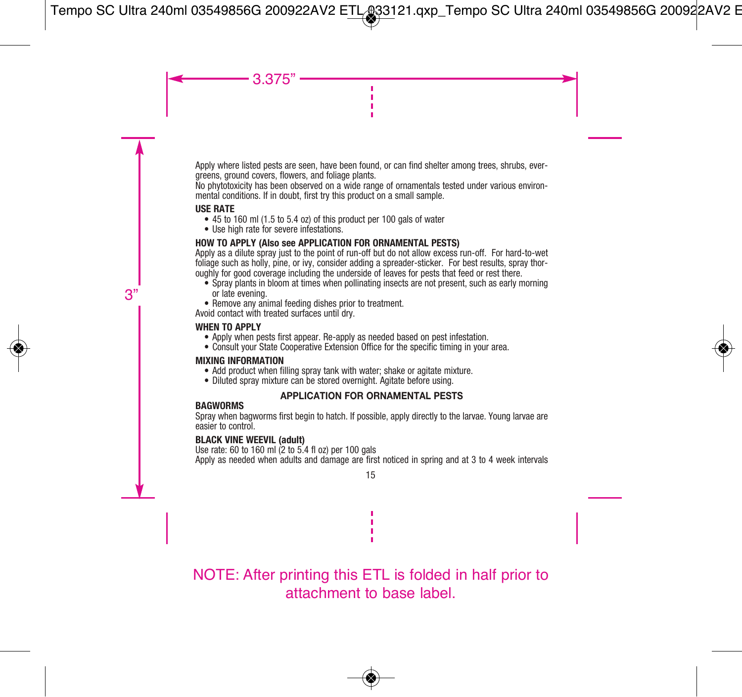Apply where listed pests are seen, have been found, or can find shelter among trees, shrubs, evergreens, ground covers, flowers, and foliage plants.

No phytotoxicity has been observed on a wide range of ornamentals tested under various environmental conditions. If in doubt, first try this product on a small sample.

## **USE RATE**

- 45 to 160 ml (1.5 to 5.4 oz) of this product per 100 gals of water
- Use high rate for severe infestations.

## **HOW TO APPLY (Also see APPLICATION FOR ORNAMENTAL PESTS)**

Apply as a dilute spray just to the point of run-off but do not allow excess run-off. For hard-to-wet foliage such as holly, pine, or ivy, consider adding a spreader-sticker. For best results, spray thoroughly for good coverage including the underside of leaves for pests that feed or rest there.

- Spray plants in bloom at times when pollinating insects are not present, such as early morning or late evening.
- Remove any animal feeding dishes prior to treatment.

Avoid contact with treated surfaces until dry.

## **WHEN TO APPLY**

- Apply when pests first appear. Re-apply as needed based on pest infestation.
- Consult your State Cooperative Extension Office for the specific timing in your area.

## **MIXING INFORMATION**

- Add product when filling spray tank with water: shake or agitate mixture.
- Diluted spray mixture can be stored overnight. Agitate before using.

## **APPLICATION FOR ORNAMENTAL PESTS**

#### **BAGWORMS**

Spray when bagworms first begin to hatch. If possible, apply directly to the larvae. Young larvae are easier to control.

## **BLACK VINE WEEVIL (adult)**

Use rate: 60 to 160 ml (2 to 5.4 fl oz) per 100 gals Apply as needed when adults and damage are first noticed in spring and at 3 to 4 week intervals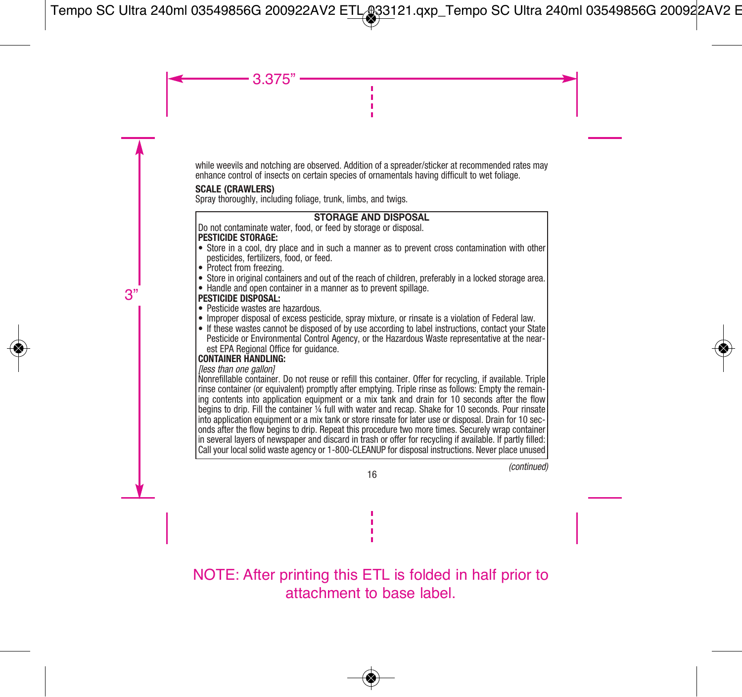while weevils and notching are observed. Addition of a spreader/sticker at recommended rates may enhance control of insects on certain species of ornamentals having difficult to wet foliage.

## **SCALE (CRAWLERS)**

Spray thoroughly, including foliage, trunk, limbs, and twigs.

## **STORAGE AND DISPOSAL**

Do not contaminate water, food, or feed by storage or disposal. **PESTICIDE STORAGE:** 

- Store in a cool, dry place and in such a manner as to prevent cross contamination with other pesticides, fertilizers, food, or feed.
- Protect from freezing.
- Store in original containers and out of the reach of children, preferably in a locked storage area.
- Handle and open container in a manner as to prevent spillage.

## **PESTICIDE DISPOSAL:**

- Pesticide wastes are hazardous.
- Improper disposal of excess pesticide, spray mixture, or rinsate is a violation of Federal law.
- If these wastes cannot be disposed of by use according to label instructions, contact your State Pesticide or Environmental Control Agency, or the Hazardous Waste representative at the nearest EPA Regional Office for guidance.

## **CONTAINER HANDLING:**

lless than one gallonl

Nonrefillable container. Do not reuse or refill this container. Offer for recycling, if available. Triple rinse container (or equivalent) promptly after emptying. Triple rinse as follows: Empty the remain ing contents into application equipment or a mix tank and drain for 10 seconds after the flow begins to drip. Fill the container ¼ full with water and recap. Shake for 10 seconds. Pour rinsate into application equipment or a mix tank or store rinsate for later use or disposal. Drain for 10 seconds after the flow begins to drip. Repeat this procedure two more times. Securely wrap container in several layers of newspaper and discard in trash or offer for recycling if available. If partly filled: Call your local solid waste agency or 1-800-CLEANUP for disposal instructions. Never place unused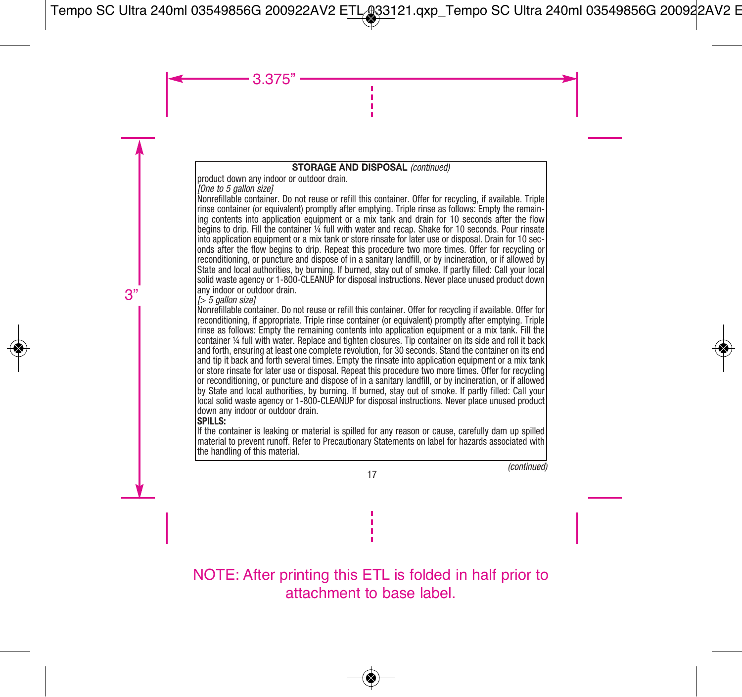## **STORAGE AND DISPOSAL (continued)**

product down any indoor or outdoor drain.

[One to 5 gallon size]

Nonrefillable container. Do not reuse or refill this container. Offer for recycling, if available. Triple rinse container (or equivalent) promptly after emptying. Triple rinse as follows: Empty the remaining contents into application equipment or a mix tank and drain for 10 seconds after the flow begins to drip. Fill the container ¼ full with water and recap. Shake for 10 seconds. Pour rinsate into application equipment or a mix tank or store rinsate for later use or disposal. Drain for 10 seconds after the flow begins to drip. Repeat this procedure two more times. Offer for recycling or reconditioning, or puncture and dispose of in a sanitary landfill, or by incineration, or if allowed by State and local authorities, by burning. If burned, stay out of smoke. If partly filled: Call your local solid waste agency or 1-800-CLEANUP for disposal instructions. Never place unused product down any indoor or outdoor drain.

 $[5]$  5 gallon sizel

Nonrefillable container. Do not reuse or refill this container. Offer for recycling if available. Offer for reconditioning, if appropriate. Triple rinse container (or equivalent) promptly after emptying. Triple rinse as follows: Empty the remaining contents into application equipment or a mix tank. Fill the container ¼ full with water. Replace and tighten closures. Tip container on its side and roll it back and forth, ensuring at least one complete revolution, for 30 seconds. Stand the container on its end and tip it back and forth several times. Empty the rinsate into application equipment or a mix tank or store rinsate for later use or disposal. Repeat this procedure two more times. Offer for recycling or reconditioning, or puncture and dispose of in a sanitary landfill, or by incineration, or if allowed by State and local authorities, by burning. If burned, stay out of smoke. If partly filled: Call your local solid waste agency or 1-800-CLEANUP for disposal instructions. Never place unused product down any indoor or outdoor drain.

## **SPILLS:**

If the container is leaking or material is spilled for any reason or cause, carefully dam up spilled material to prevent runoff. Refer to Precautionary Statements on label for hazards associated with the handling of this material.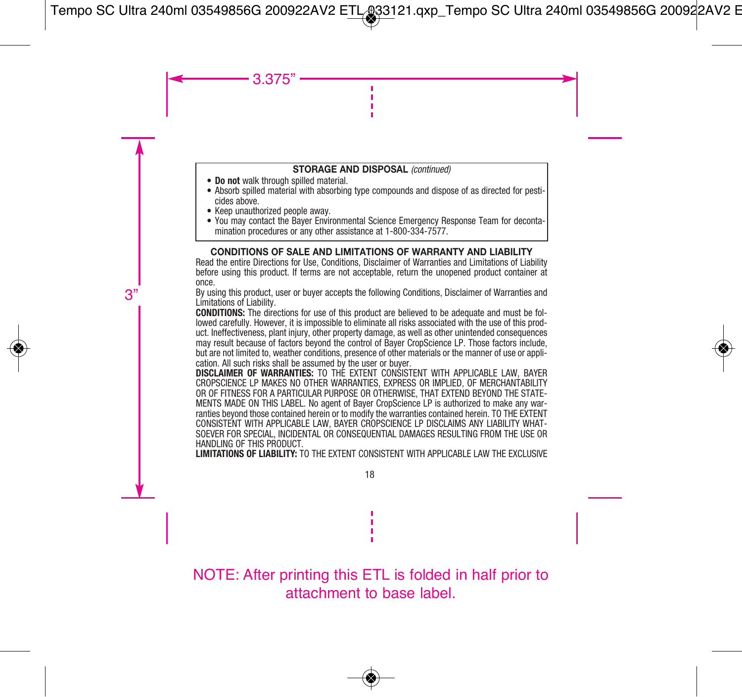#### **STORAGE AND DISPOSAL** (continued)

- **Do not** walk through spilled material.
- Absorb spilled material with absorbing type compounds and dispose of as directed for pesticides above.
- Keep unauthorized people away.
- You may contact the Bayer Environmental Science Emergency Response Team for decontamination procedures or any other assistance at 1-800-334-7577

## **CONDITIONS OF SALE AND LIMITATIONS OF WARRANTY AND LIABILITY**

Read the entire Directions for Use, Conditions, Disclaimer of Warranties and Limitations of Liability before using this product. If terms are not acceptable, return the unopened product container at once.

By using this product, user or buyer accepts the following Conditions, Disclaimer of Warranties and Limitations of Liability.

**CONDITIONS:** The directions for use of this product are believed to be adequate and must be followed carefully. However, it is impossible to eliminate all risks associated with the use of this prod uct. Ineffectiveness, plant injury, other property damage, as well as other unintended consequences may result because of factors beyond the control of Bayer CropScience LP. Those factors include, but are not limited to, weather conditions, presence of other materials or the manner of use or application. All such risks shall be assumed by the user or buyer.

**DISCLAIMER OF WARRANTIES:** TO THE EXTENT CONSISTENT WITH APPLICABLE LAW, BAYER CROPSCIENCE LP MAKES NO OTHER WARRANTIES, EXPRESS OR IMPLIED, OF MERCHANTABILITY OR OF FITNESS FOR A PARTICULAR PURPOSE OR OTHERWISE, THAT EXTEND BEYOND THE STATE-MENTS MADE ON THIS LABEL. No agent of Bayer CropScience LP is authorized to make any warranties beyond those contained herein or to modify the warranties contained herein. TO THE EXTENT CONSISTENT WITH APPLICABLE LAW, BAYER CROPSCIENCE LP DISCLAIMS ANY LIABILITY WHAT-SOEVER FOR SPECIAL, INCIDENTAL OR CONSEQUENTIAL DAMAGES RESULTING FROM THE USE OR HANDLING OF THIS PRODUCT.

**LIMITATIONS OF LIABILITY:** TO THE EXTENT CONSISTENT WITH APPLICABLE LAW THE EXCLUSIVE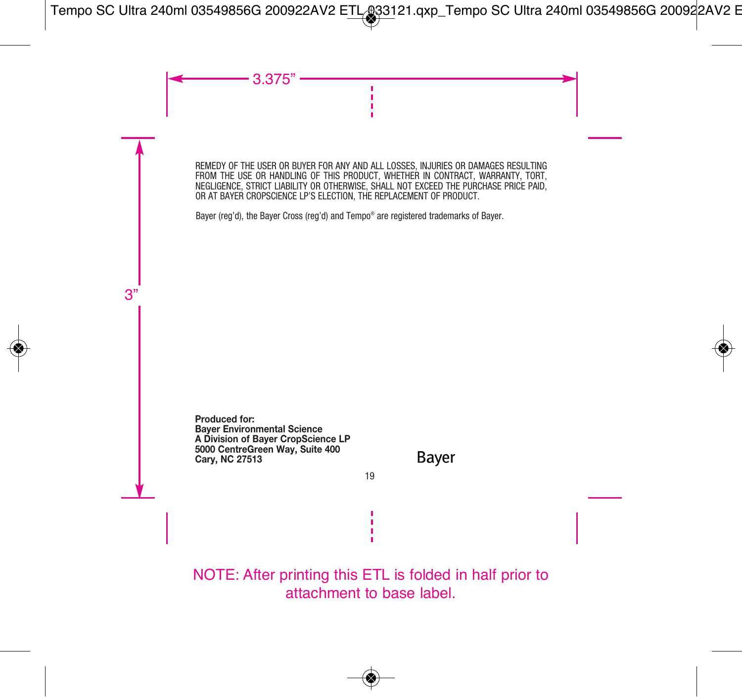REMEDY OF THE USER OR BUYER FOR ANY AND ALL LOSSES, INJURIES OR DAMAGES RESULTING FROM THE USE OR HANDLING OF THIS PRODUCT, WHETHER IN CONTRACT, WARRANTY, TORT, NEGLIGENCE, STRICT LIABILITY OR OTHERWISE, SHALL NOT EXCEED THE PURCHASE PRICE PAID, OR AT BAYER CROPSCIENCE LP'S ELECTION, THE REPLACEMENT OF PRODUCT.

Bayer (reg'd), the Bayer Cross (reg'd) and Tempo® are registered trademarks of Bayer.

**Produced for: Bayer Environmental Science A Division of Bayer CropScience LP 5000 CentreGreen Way, Suite 400 Cary, NC 27513**

Baver